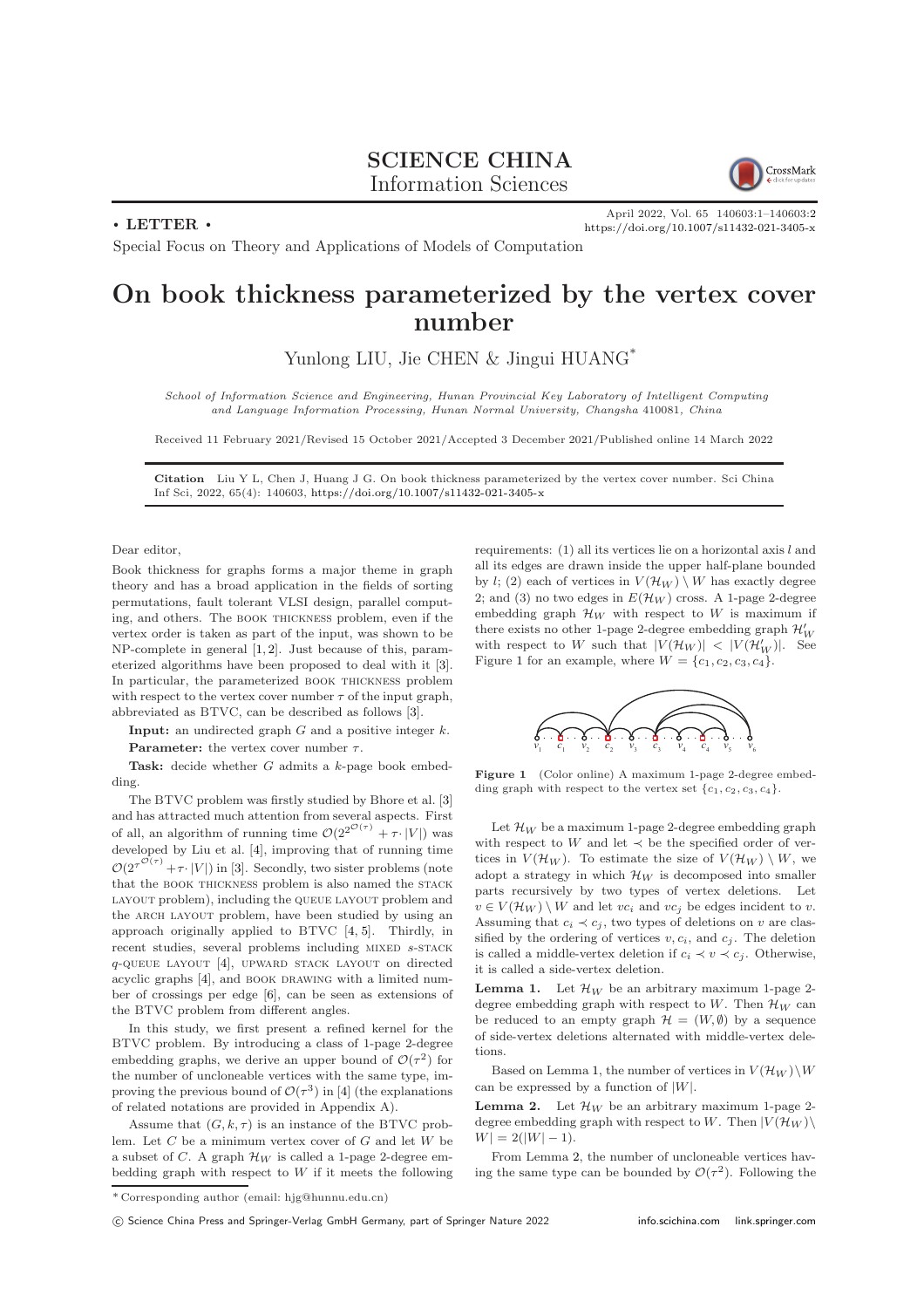## SCIENCE CHINA Information Sciences



 $\cdot$  LETTER  $\cdot$ 

April 2022, Vol. 65 140603:1–140603[:2](#page-1-0) <https://doi.org/10.1007/s11432-021-3405-x>

Special Focus on Theory and Applications of Models of Computation

## On book thickness parameterized by the vertex cover number

Yunlong LIU, Jie CHEN & Jingui HUANG<sup>\*</sup>

School of Information Science and Engineering, Hunan Provincial Key Laboratory of Intelligent Computing and Language Information Processing, Hunan Normal University, Changsha 410081, China

Received 11 February 2021/Revised 15 October 2021/Accepted 3 December 2021/Published online 14 March 2022

Citation Liu Y L, Chen J, Huang J G. On book thickness parameterized by the vertex cover number. Sci China Inf Sci, 2022, 65(4): 140603, <https://doi.org/10.1007/s11432-021-3405-x>

Dear editor,

Book thickness for graphs forms a major theme in graph theory and has a broad application in the fields of sorting permutations, fault tolerant VLSI design, parallel computing, and others. The book thickness problem, even if the vertex order is taken as part of the input, was shown to be NP-complete in general [\[1,](#page-1-1) [2\]](#page-1-2). Just because of this, parameterized algorithms have been proposed to deal with it [\[3\]](#page-1-3). In particular, the parameterized book thickness problem with respect to the vertex cover number  $\tau$  of the input graph, abbreviated as BTVC, can be described as follows [\[3\]](#page-1-3).

**Input:** an undirected graph  $G$  and a positive integer  $k$ .

**Parameter:** the vertex cover number  $\tau$ .

Task: decide whether G admits a k-page book embedding.

The BTVC problem was firstly studied by Bhore et al. [\[3\]](#page-1-3) and has attracted much attention from several aspects. First of all, an algorithm of running time  $\mathcal{O}(2^{2^{\mathcal{O}(\tau)}} + \tau \cdot |V|)$  was developed by Liu et al. [\[4\]](#page-1-4), improving that of running time  $\mathcal{O}(2^{\tau^{\mathcal{O}(\tau)}} + \tau \cdot |V|)$  in [\[3\]](#page-1-3). Secondly, two sister problems (note that the BOOK THICKNESS problem is also named the STACK LAYOUT problem), including the QUEUE LAYOUT problem and the ARCH LAYOUT problem, have been studied by using an approach originally applied to BTVC [\[4,](#page-1-4) [5\]](#page-1-5). Thirdly, in recent studies, several problems including MIXED s-STACK q-queue layout [\[4\]](#page-1-4), upward stack layout on directed acyclic graphs [\[4\]](#page-1-4), and BOOK DRAWING with a limited number of crossings per edge [\[6\]](#page-1-6), can be seen as extensions of the BTVC problem from different angles.

In this study, we first present a refined kernel for the BTVC problem. By introducing a class of 1-page 2-degree embedding graphs, we derive an upper bound of  $\mathcal{O}(\tau^2)$  for the number of uncloneable vertices with the same type, improving the previous bound of  $\mathcal{O}(\tau^3)$  in [\[4\]](#page-1-4) (the explanations of related notations are provided in Appendix A).

Assume that  $(G, k, \tau)$  is an instance of the BTVC problem. Let  $C$  be a minimum vertex cover of  $G$  and let  $W$  be a subset of C. A graph  $\mathcal{H}_W$  is called a 1-page 2-degree embedding graph with respect to  $W$  if it meets the following requirements: (1) all its vertices lie on a horizontal axis l and all its edges are drawn inside the upper half-plane bounded by l; (2) each of vertices in  $V(\mathcal{H}_W) \setminus W$  has exactly degree 2; and (3) no two edges in  $E(\mathcal{H}_W)$  cross. A 1-page 2-degree embedding graph  $\mathcal{H}_W$  with respect to W is maximum if there exists no other 1-page 2-degree embedding graph  $\mathcal{H}'_W$ with respect to W such that  $|V(\mathcal{H}_W)| < |V(\mathcal{H}_W')|$ . See Figure [1](#page-0-0) for an example, where  $W = \{c_1, c_2, c_3, c_4\}.$ 

<span id="page-0-0"></span>

Figure 1 (Color online) A maximum 1-page 2-degree embedding graph with respect to the vertex set  $\{c_1, c_2, c_3, c_4\}.$ 

Let  $\mathcal{H}_W$  be a maximum 1-page 2-degree embedding graph with respect to  $W$  and let  $\prec$  be the specified order of vertices in  $V(\mathcal{H}_W)$ . To estimate the size of  $V(\mathcal{H}_W) \setminus W$ , we adopt a strategy in which  $\mathcal{H}_W$  is decomposed into smaller parts recursively by two types of vertex deletions. Let  $v \in V(\mathcal{H}_W) \setminus W$  and let  $vc_i$  and  $vc_j$  be edges incident to v. Assuming that  $c_i \prec c_j$ , two types of deletions on v are classified by the ordering of vertices  $v, c_i$ , and  $c_j$ . The deletion is called a middle-vertex deletion if  $c_i \prec v \prec c_j$ . Otherwise, it is called a side-vertex deletion.

<span id="page-0-1"></span>**Lemma 1.** Let  $\mathcal{H}_W$  be an arbitrary maximum 1-page 2degree embedding graph with respect to W. Then  $\mathcal{H}_W$  can be reduced to an empty graph  $\mathcal{H} = (W, \emptyset)$  by a sequence of side-vertex deletions alternated with middle-vertex deletions.

Based on Lemma [1,](#page-0-1) the number of vertices in  $V(\mathcal{H}_W)\backslash W$ can be expressed by a function of  $|W|$ .

<span id="page-0-2"></span>**Lemma 2.** Let  $\mathcal{H}_W$  be an arbitrary maximum 1-page 2degree embedding graph with respect to W. Then  $|V(\mathcal{H}_W)\rangle$  $W = 2(|W| - 1).$ 

From Lemma [2,](#page-0-2) the number of uncloneable vertices having the same type can be bounded by  $\mathcal{O}(\tau^2)$ . Following the

<sup>\*</sup> Corresponding author (email: hjg@hunnu.edu.cn)

c Science China Press and Springer-Verlag GmbH Germany, part of Springer Nature 2022 <info.scichina.com><link.springer.com>